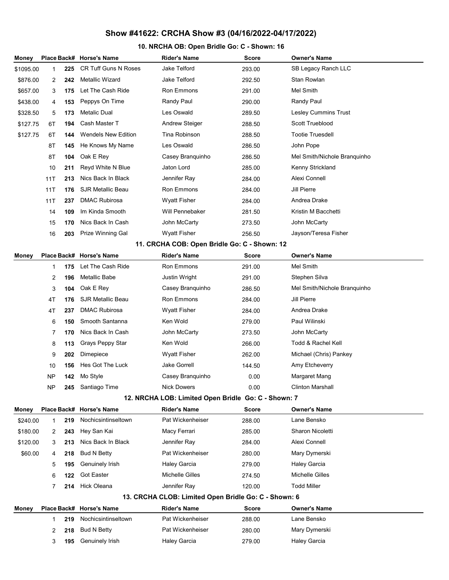## Show #41622: CRCHA Show #3 (04/16/2022-04/17/2022)

## 10. NRCHA OB: Open Bridle Go: C - Shown: 16

| Money                                               |                                                      |     | Place Back# Horse's Name    | <b>Rider's Name</b>   | <b>Score</b> | <b>Owner's Name</b>          |  |  |  |  |  |
|-----------------------------------------------------|------------------------------------------------------|-----|-----------------------------|-----------------------|--------------|------------------------------|--|--|--|--|--|
| \$1095.00                                           | 1                                                    | 225 | <b>CR Tuff Guns N Roses</b> | Jake Telford          | 293.00       | SB Legacy Ranch LLC          |  |  |  |  |  |
| \$876.00                                            | 2                                                    | 242 | Metallic Wizard             | Jake Telford          | 292.50       | Stan Rowlan                  |  |  |  |  |  |
| \$657.00                                            | 3                                                    | 175 | Let The Cash Ride           | Ron Emmons            | 291.00       | Mel Smith                    |  |  |  |  |  |
| \$438.00                                            | 4                                                    | 153 | Peppys On Time              | Randy Paul            | 290.00       | <b>Randy Paul</b>            |  |  |  |  |  |
| \$328.50                                            | 5                                                    | 173 | Metalic Dual                | Les Oswald            | 289.50       | <b>Lesley Cummins Trust</b>  |  |  |  |  |  |
| \$127.75                                            | 6T                                                   | 194 | Cash Master T               | <b>Andrew Steiger</b> | 288.50       | Scott Trueblood              |  |  |  |  |  |
| \$127.75                                            | 6T                                                   | 144 | <b>Wendels New Edition</b>  | Tina Robinson         | 288.50       | <b>Tootie Truesdell</b>      |  |  |  |  |  |
|                                                     | 8Τ                                                   | 145 | He Knows My Name            | Les Oswald            | 286.50       | John Pope                    |  |  |  |  |  |
|                                                     | 8T                                                   | 104 | Oak E Rey                   | Casey Branquinho      | 286.50       | Mel Smith/Nichole Branquinho |  |  |  |  |  |
|                                                     | 10                                                   | 211 | Reyd White N Blue           | Jaton Lord            | 285.00       | Kenny Strickland             |  |  |  |  |  |
|                                                     | 11T                                                  | 213 | Nics Back In Black          | Jennifer Ray          | 284.00       | Alexi Connell                |  |  |  |  |  |
|                                                     | 11T                                                  | 176 | <b>SJR Metallic Beau</b>    | Ron Emmons            | 284.00       | Jill Pierre                  |  |  |  |  |  |
|                                                     | 11T                                                  | 237 | <b>DMAC Rubirosa</b>        | <b>Wyatt Fisher</b>   | 284.00       | Andrea Drake                 |  |  |  |  |  |
|                                                     | 14                                                   | 109 | Im Kinda Smooth             | Will Pennebaker       | 281.50       | Kristin M Bacchetti          |  |  |  |  |  |
|                                                     | 15                                                   | 170 | Nics Back In Cash           | John McCarty          | 273.50       | John McCarty                 |  |  |  |  |  |
|                                                     | 16                                                   | 203 | Prize Winning Gal           | <b>Wyatt Fisher</b>   | 256.50       | Jayson/Teresa Fisher         |  |  |  |  |  |
|                                                     | 11. CRCHA COB: Open Bridle Go: C - Shown: 12         |     |                             |                       |              |                              |  |  |  |  |  |
| Money                                               |                                                      |     | Place Back# Horse's Name    | <b>Rider's Name</b>   | Score        | <b>Owner's Name</b>          |  |  |  |  |  |
|                                                     | 1                                                    | 175 | Let The Cash Ride           | Ron Emmons            | 291.00       | Mel Smith                    |  |  |  |  |  |
|                                                     | 2                                                    | 196 | Metallic Babe               | Justin Wright         | 291.00       | Stephen Silva                |  |  |  |  |  |
|                                                     | 3                                                    | 104 | Oak E Rey                   | Casey Branquinho      | 286.50       | Mel Smith/Nichole Branquinho |  |  |  |  |  |
|                                                     | 4T                                                   | 176 | <b>SJR Metallic Beau</b>    | Ron Emmons            | 284.00       | Jill Pierre                  |  |  |  |  |  |
|                                                     | 4T                                                   | 237 | <b>DMAC Rubirosa</b>        | <b>Wyatt Fisher</b>   | 284.00       | Andrea Drake                 |  |  |  |  |  |
|                                                     | 6                                                    | 150 | Smooth Santanna             | Ken Wold              | 279.00       | Paul Wilinski                |  |  |  |  |  |
|                                                     | 7                                                    | 170 | Nics Back In Cash           | John McCarty          | 273.50       | John McCarty                 |  |  |  |  |  |
|                                                     | 8                                                    | 113 | Grays Peppy Star            | Ken Wold              | 266.00       | Todd & Rachel Kell           |  |  |  |  |  |
|                                                     | 9                                                    | 202 | Dimepiece                   | <b>Wyatt Fisher</b>   | 262.00       | Michael (Chris) Pankey       |  |  |  |  |  |
|                                                     | 10                                                   | 156 | Hes Got The Luck            | Jake Gorrell          | 144.50       | Amy Etcheverry               |  |  |  |  |  |
|                                                     | <b>NP</b>                                            | 142 | Mo Style                    | Casey Branquinho      | 0.00         | Margaret Mang                |  |  |  |  |  |
|                                                     | <b>NP</b>                                            | 245 | Santiago Time               | <b>Nick Dowers</b>    | 0.00         | <b>Clinton Marshall</b>      |  |  |  |  |  |
| 12. NRCHA LOB: Limited Open Bridle Go: C - Shown: 7 |                                                      |     |                             |                       |              |                              |  |  |  |  |  |
| Money                                               |                                                      |     | Place Back# Horse's Name    | <b>Rider's Name</b>   | <b>Score</b> | <b>Owner's Name</b>          |  |  |  |  |  |
| \$240.00                                            | $\mathbf{1}$                                         | 219 | Nochicsintinseltown         | Pat Wickenheiser      | 288.00       | Lane Bensko                  |  |  |  |  |  |
| \$180.00                                            | 2                                                    | 243 | Hey San Kai                 | Macy Ferrari          | 285.00       | Sharon Nicoletti             |  |  |  |  |  |
| \$120.00                                            | 3                                                    | 213 | Nics Back In Black          | Jennifer Ray          | 284.00       | Alexi Connell                |  |  |  |  |  |
| \$60.00                                             | 4                                                    | 218 | <b>Bud N Betty</b>          | Pat Wickenheiser      | 280.00       | Mary Dymerski                |  |  |  |  |  |
|                                                     | 5                                                    | 195 | Genuinely Irish             | <b>Haley Garcia</b>   | 279.00       | <b>Haley Garcia</b>          |  |  |  |  |  |
|                                                     | 6                                                    | 122 | Got Easter                  | Michelle Gilles       | 274.50       | Michelle Gilles              |  |  |  |  |  |
|                                                     | 7                                                    | 214 | <b>Hick Oleana</b>          | Jennifer Ray          | 120.00       | <b>Todd Miller</b>           |  |  |  |  |  |
|                                                     | 13. CRCHA CLOB: Limited Open Bridle Go: C - Shown: 6 |     |                             |                       |              |                              |  |  |  |  |  |
| Money                                               |                                                      |     | Place Back# Horse's Name    | <b>Rider's Name</b>   | Score        | <b>Owner's Name</b>          |  |  |  |  |  |
|                                                     | 1                                                    | 219 | Nochicsintinseltown         | Pat Wickenheiser      | 288.00       | Lane Bensko                  |  |  |  |  |  |
|                                                     | 2                                                    | 218 | Bud N Betty                 | Pat Wickenheiser      | 280.00       | Mary Dymerski                |  |  |  |  |  |
|                                                     | 3                                                    | 195 | Genuinely Irish             | <b>Haley Garcia</b>   | 279.00       | <b>Haley Garcia</b>          |  |  |  |  |  |